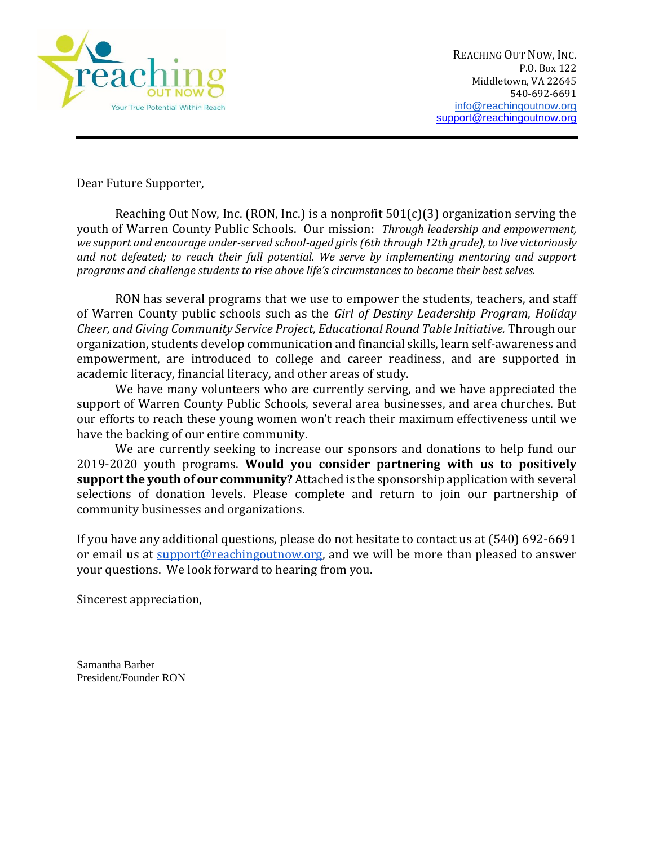

Dear Future Supporter,

Reaching Out Now, Inc. (RON, Inc.) is a nonprofit  $501(c)(3)$  organization serving the youth of Warren County Public Schools. Our mission: *Through leadership and empowerment, we support and encourage under-served school-aged girls (6th through 12th grade), to live victoriously and not defeated; to reach their full potential. We serve by implementing mentoring and support programs and challenge students to rise above life's circumstances to become their best selves.*

RON has several programs that we use to empower the students, teachers, and staff of Warren County public schools such as the *Girl of Destiny Leadership Program, Holiday Cheer, and Giving Community Service Project, Educational Round Table Initiative.* Through our organization, students develop communication and financial skills, learn self-awareness and empowerment, are introduced to college and career readiness, and are supported in academic literacy, financial literacy, and other areas of study.

We have many volunteers who are currently serving, and we have appreciated the support of Warren County Public Schools, several area businesses, and area churches. But our efforts to reach these young women won't reach their maximum effectiveness until we have the backing of our entire community.

We are currently seeking to increase our sponsors and donations to help fund our 2019-2020 youth programs. **Would you consider partnering with us to positively support the youth of our community?** Attached is the sponsorship application with several selections of donation levels. Please complete and return to join our partnership of community businesses and organizations.

If you have any additional questions, please do not hesitate to contact us at (540) 692-6691 or email us at [support@reachingoutnow.org,](mailto:support@reachingoutnow.org) and we will be more than pleased to answer your questions. We look forward to hearing from you.

Sincerest appreciation,

Samantha Barber President/Founder RON